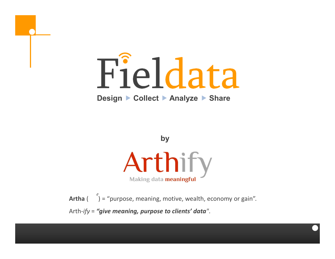

**Design Collect Analyze Share**



Artha ( ) = "purpose, meaning, motive, wealth, economy or gain". Arth-*ify* = *"give meaning, purpose to clients' data"*.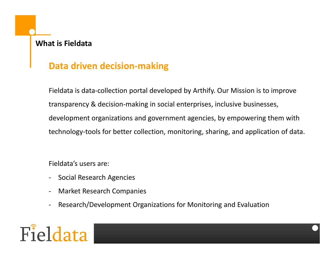# **What is Fieldata**

# **Data driven decision-making**

Fieldata is data-collection portal developed by Arthify. Our Mission is to improve transparency & decision-making in social enterprises, inclusive businesses, development organizations and government agencies, by empowering them with technology-tools for better collection, monitoring, sharing, and application of data.

Fieldata's users are:

- Social Research Agencies
- Market Research Companies
- Research/Development Organizations for Monitoring and Evaluation

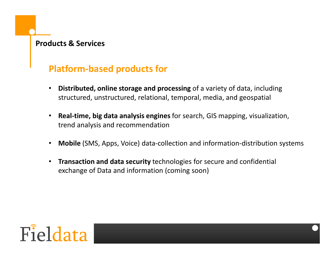## **Products & Services**

# **Platform-based products for**

- **Distributed, online storage and processing** of a variety of data, including structured, unstructured, relational, temporal, media, and geospatial
- **Real-time, big data analysis engines** for search, GIS mapping, visualization, trend analysis and recommendation
- **Mobile** (SMS, Apps, Voice) data-collection and information-distribution systems
- **Transaction and data security** technologies for secure and confidential exchange of Data and information (coming soon)

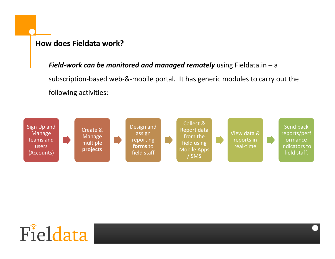## **How does Fieldata work?**

*Field-work can be monitored and managed remotely* using Fieldata.in – a subscription-based web-&-mobile portal. It has generic modules to carry out the following activities:



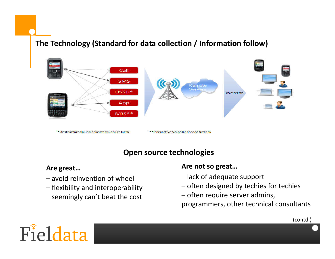# **The Technology (Standard for data collection / Information follow)**



# **Open source technologies**

#### **Are great…**

- avoid reinvention of wheel
- flexibility and interoperability
- seemingly can't beat the cost

### **Are not so great…**

- lack of adequate support
- often designed by techies for techies
- often require server admins,
- programmers, other technical consultants

(contd.)

# Fieldata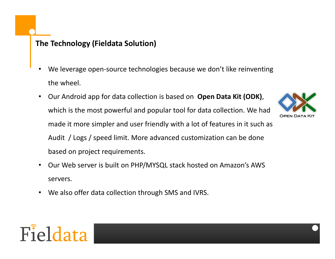# **The Technology (Fieldata Solution)**

- We leverage open-source technologies because we don't like reinventing the wheel.
- Our Android app for data collection is based on **Open Data Kit (ODK)**, which is the most powerful and popular tool for data collection. We had made it more simpler and user friendly with a lot of features in it such as Audit / Logs / speed limit. More advanced customization can be done based on project requirements.
- Our Web server is built on PHP/MYSQL stack hosted on Amazon's AWS servers.
- We also offer data collection through SMS and IVRS.



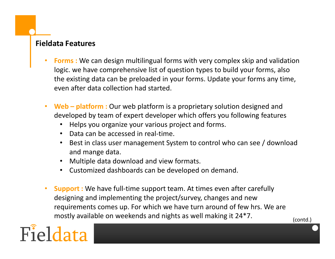## **Fieldata Features**

- **Forms :** We can design multilingual forms with very complex skip and validation logic. we have comprehensive list of question types to build your forms, also the existing data can be preloaded in your forms. Update your forms any time, even after data collection had started.
- **Web – platform :** Our web platform is a proprietary solution designed and developed by team of expert developer which offers you following features
	- Helps you organize your various project and forms.
	- Data can be accessed in real-time.
	- Best in class user management System to control who can see / download and mange data.
	- Multiple data download and view formats.
	- Customized dashboards can be developed on demand.
- **Support :** We have full-time support team. At times even after carefully designing and implementing the project/survey, changes and new requirements comes up. For which we have turn around of few hrs. We are mostly available on weekends and nights as well making it 24\*7.



(contd.)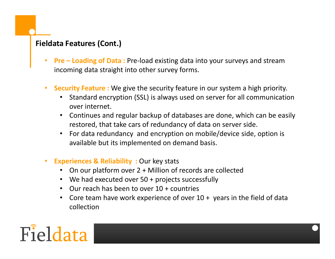# **Fieldata Features (Cont.)**

- **Pre – Loading of Data :** Pre-load existing data into your surveys and stream incoming data straight into other survey forms.
- **Security Feature :** We give the security feature in our system a high priority.
	- Standard encryption (SSL) is always used on server for all communication over internet.
	- Continues and regular backup of databases are done, which can be easily restored, that take cars of redundancy of data on server side.
	- For data redundancy and encryption on mobile/device side, option is available but its implemented on demand basis.
- **Experiences & Reliability : Our key stats** 
	- On our platform over 2 + Million of records are collected
	- We had executed over 50 + projects successfully
	- Our reach has been to over 10 + countries
	- Core team have work experience of over 10 + years in the field of data collection

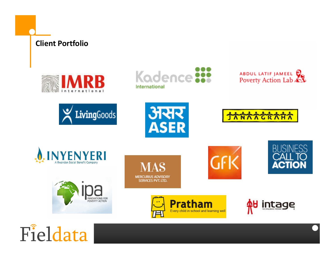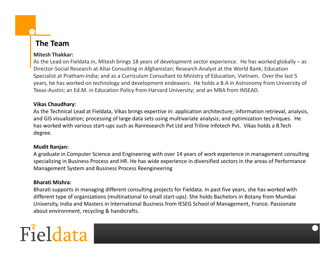# **The Team**

#### **Mitesh Thakkar:**

As the Lead on Fieldata.in, Mitesh brings 18 years of development sector experience. He has worked globally – as Director-Social Research at Altai Consulting in Afghanistan; Research Analyst at the World Bank; Education Specialist at Pratham-India; and as a Curriculum Consultant to Ministry of Education, Vietnam. Over the last 5 years, he has worked on technology and development endeavors. He holds a B.A in Astronomy from University of Texas-Austin; an Ed.M. in Education Policy from Harvard University; and an MBA from INSEAD.

#### **Vikas Chaudhary:**

As the Technical Lead at Fieldata, Vikas brings expertise in: application architecture; information retrieval, analysis, and GIS visualization; processing of large data sets using multivariate analysis; and optimization techniques. He has worked with various start-ups such as Ranresearch Pvt Ltd and Triline Infotech Pvt. Vikas holds a B.Tech degree.

#### **Mudit Ranjan:**

A graduate in Computer Science and Engineering with over 14 years of work experience in management consulting specializing in Business Process and HR. He has wide experience in diversified sectors in the areas of Performance Management System and Business Process Reengineering

#### **Bharati Mishra:**

Bharati supports in managing different consulting projects for Fieldata. In past five years, she has worked with different type of organizations (multinational to small start-ups). She holds Bachelors in Botany from Mumbai University, India and Masters in International Business from IESEG School of Management, France. Passionate about environment, recycling & handicrafts.

# Fieldata